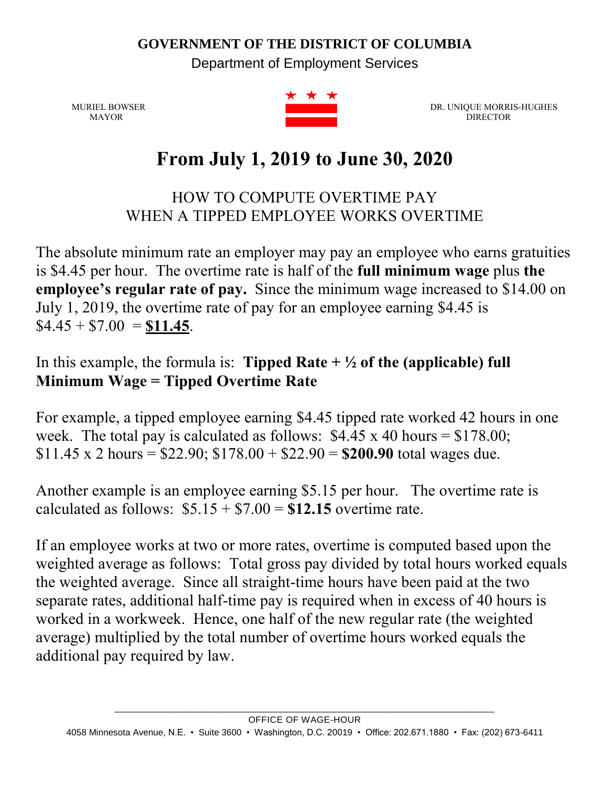## **GOVERNMENT OF THE DISTRICT OF COLUMBIA**

Department of Employment Services



MURIEL BOWSER DR. UNIQUE MORRIS-HUGHES MAYOR DR. UNIQUE MORRIS-HUGHES MAYOR DIRECTOR DESCRIPTION OF THE CONTRACTOR DESCRIPTION OF THE CONTRACTOR DESCRIPTION OF THE CONTRACTOR OF THE CONTRACTOR

## **From July 1, 2019 to June 30, 2020**

HOW TO COMPUTE OVERTIME PAY WHEN A TIPPED EMPLOYEE WORKS OVERTIME

The absolute minimum rate an employer may pay an employee who earns gratuities is \$4.45 per hour. The overtime rate is half of the **full minimum wage** plus **the employee's regular rate of pay.** Since the minimum wage increased to \$14.00 on July 1, 2019, the overtime rate of pay for an employee earning \$4.45 is  $$4.45 + $7.00 = $11.45.$ 

## In this example, the formula is: **Tipped Rate**  $+ \frac{1}{2}$  of the (applicable) full **Minimum Wage = Tipped Overtime Rate**

For example, a tipped employee earning \$4.45 tipped rate worked 42 hours in one week. The total pay is calculated as follows:  $$4.45 \times 40$  hours = \$178.00; \$11.45 x 2 hours =  $$22.90$ ; \$178.00 + \$22.90 = **\$200.90** total wages due.

Another example is an employee earning \$5.15 per hour. The overtime rate is calculated as follows:  $$5.15 + $7.00 = $12.15$  overtime rate.

If an employee works at two or more rates, overtime is computed based upon the weighted average as follows: Total gross pay divided by total hours worked equals the weighted average. Since all straight-time hours have been paid at the two separate rates, additional half-time pay is required when in excess of 40 hours is worked in a workweek. Hence, one half of the new regular rate (the weighted average) multiplied by the total number of overtime hours worked equals the additional pay required by law.